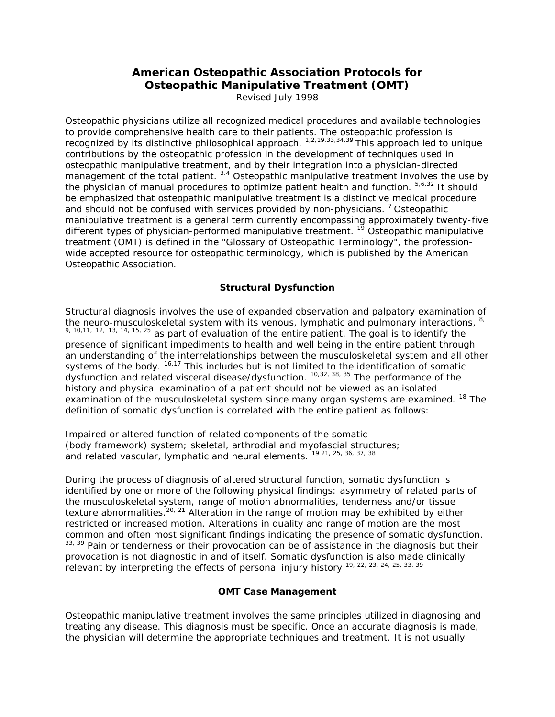# **American Osteopathic Association Protocols for Osteopathic Manipulative Treatment (OMT)**

Revised July 1998

Osteopathic physicians utilize all recognized medical procedures and available technologies to provide comprehensive health care to their patients. The osteopathic profession is recognized by its distinctive philosophical approach.  $1,2,19,33,34,39$  This approach led to unique contributions by the osteopathic profession in the development of techniques used in osteopathic manipulative treatment, and by their integration into a physician-directed management of the total patient. <sup>3.4</sup> Osteopathic manipulative treatment involves the use by the physician of manual procedures to optimize patient health and function.  $5,6,32$  It should be emphasized that osteopathic manipulative treatment is a distinctive medical procedure and should not be confused with services provided by non-physicians.<sup>7</sup> Osteopathic manipulative treatment is a general term currently encompassing approximately twenty-five different types of physician-performed manipulative treatment.  $1^{\circ}$  Osteopathic manipulative treatment (OMT) is defined in the "Glossary of Osteopathic Terminology", the professionwide accepted resource for osteopathic terminology, which is published by the American Osteopathic Association.

#### **Structural Dysfunction**

Structural diagnosis involves the use of expanded observation and palpatory examination of the neuro-musculoskeletal system with its venous, lymphatic and pulmonary interactions, <sup>8,</sup>  $9, 10, 11, 12, 13, 14, 15, 25$  as part of evaluation of the entire patient. The goal is to identify the presence of significant impediments to health and well being in the entire patient through an understanding of the interrelationships between the musculoskeletal system and all other systems of the body. <sup>16,17</sup> This includes but is not limited to the identification of somatic dysfunction and related visceral disease/dysfunction. <sup>10,32, 38, 35</sup> The performance of the history and physical examination of a patient should not be viewed as an isolated examination of the musculoskeletal system since many organ systems are examined. <sup>18</sup> The definition of somatic dysfunction is correlated with the entire patient as follows:

Impaired or altered function of related components of the somatic (body framework) system; skeletal, arthrodial and myofascial structures; and related vascular, lymphatic and neural elements. 19 21, 25, 36, 37, 38

During the process of diagnosis of altered structural function, somatic dysfunction is identified by one or more of the following physical findings: asymmetry of related parts of the musculoskeletal system, range of motion abnormalities, tenderness and/or tissue texture abnormalities.<sup>20, 21</sup> Alteration in the range of motion may be exhibited by either restricted or increased motion. Alterations in quality and range of motion are the most common and often most significant findings indicating the presence of somatic dysfunction.  $33, 39$  Pain or tenderness or their provocation can be of assistance in the diagnosis but their provocation is not diagnostic in and of itself. Somatic dysfunction is also made clinically relevant by interpreting the effects of personal injury history <sup>19, 22, 23, 24, 25, 33, 39</sup>

#### **OMT Case Management**

Osteopathic manipulative treatment involves the same principles utilized in diagnosing and treating any disease. This diagnosis must be specific. Once an accurate diagnosis is made, the physician will determine the appropriate techniques and treatment. It is not usually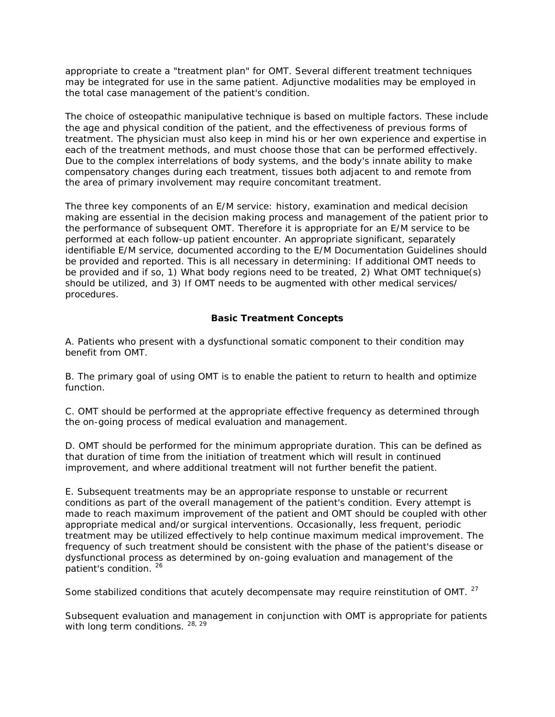appropriate to create a "treatment plan" for OMT. Several different treatment techniques may be integrated for use in the same patient. Adjunctive modalities may be employed in the total case management of the patient's condition.

The choice of osteopathic manipulative technique is based on multiple factors. These include the age and physical condition of the patient, and the effectiveness of previous forms of treatment. The physician must also keep in mind his or her own experience and expertise in each of the treatment methods, and must choose those that can be performed effectively. Due to the complex interrelations of body systems, and the body's innate ability to make compensatory changes during each treatment, tissues both adjacent to and remote from the area of primary involvement may require concomitant treatment.

The three key components of an E/M service: history, examination and medical decision making are essential in the decision making process and management of the patient prior to the performance of subsequent OMT. Therefore it is appropriate for an E/M service to be performed at each follow-up patient encounter. An appropriate significant, separately identifiable E/M service, documented according to the E/M Documentation Guidelines should be provided and reported. This is all necessary in determining: If additional OMT needs to be provided and if so, 1) What body regions need to be treated, 2) What OMT technique(s) should be utilized, and 3) If OMT needs to be augmented with other medical services/ procedures.

### **Basic Treatment Concepts**

A. Patients who present with a dysfunctional somatic component to their condition may benefit from OMT.

B. The primary goal of using OMT is to enable the patient to return to health and optimize function.

C. OMT should be performed at the appropriate effective frequency as determined through the on-going process of medical evaluation and management.

D. OMT should be performed for the minimum appropriate duration. This can be defined as that duration of time from the initiation of treatment which will result in continued improvement, and where additional treatment will not further benefit the patient.

E. Subsequent treatments may be an appropriate response to unstable or recurrent conditions as part of the overall management of the patient's condition. Every attempt is made to reach maximum improvement of the patient and OMT should be coupled with other appropriate medical and/or surgical interventions. Occasionally, less frequent, periodic treatment may be utilized effectively to help continue maximum medical improvement. The frequency of such treatment should be consistent with the phase of the patient's disease or dysfunctional process as determined by on-going evaluation and management of the patient's condition. 26

Some stabilized conditions that acutely decompensate may require reinstitution of OMT.<sup>27</sup>

Subsequent evaluation and management in conjunction with OMT is appropriate for patients with long term conditions. 28, 29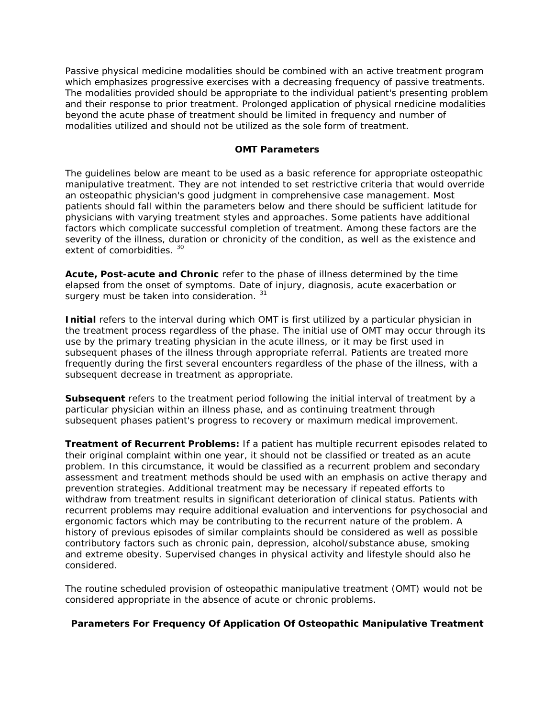Passive physical medicine modalities should be combined with an active treatment program which emphasizes progressive exercises with a decreasing frequency of passive treatments. The modalities provided should be appropriate to the individual patient's presenting problem and their response to prior treatment. Prolonged application of physical rnedicine modalities beyond the acute phase of treatment should be limited in frequency and number of modalities utilized and should not be utilized as the sole form of treatment.

#### **OMT Parameters**

The guidelines below are meant to be used as a basic reference for appropriate osteopathic manipulative treatment. They are not intended to set restrictive criteria that would override an osteopathic physician's good judgment in comprehensive case management. Most patients should fall within the parameters below and there should be sufficient latitude for physicians with varying treatment styles and approaches. Some patients have additional factors which complicate successful completion of treatment. Among these factors are the severity of the illness, duration or chronicity of the condition, as well as the existence and extent of comorbidities.<sup>30</sup>

**Acute, Post-acute and Chronic** refer to the phase of illness determined by the time elapsed from the onset of symptoms. Date of injury, diagnosis, acute exacerbation or surgery must be taken into consideration. 31

**Initial** refers to the interval during which OMT is first utilized by a particular physician in the treatment process regardless of the phase. The initial use of OMT may occur through its use by the primary treating physician in the acute illness, or it may be first used in subsequent phases of the illness through appropriate referral. Patients are treated more frequently during the first several encounters regardless of the phase of the illness, with a subsequent decrease in treatment as appropriate.

**Subsequent** refers to the treatment period following the initial interval of treatment by a particular physician within an illness phase, and as continuing treatment through subsequent phases patient's progress to recovery or maximum medical improvement.

**Treatment of Recurrent Problems:** If a patient has multiple recurrent episodes related to their original complaint within one year, it should not be classified or treated as an acute problem. In this circumstance, it would be classified as a recurrent problem and secondary assessment and treatment methods should be used with an emphasis on active therapy and prevention strategies. Additional treatment may be necessary if repeated efforts to withdraw from treatment results in significant deterioration of clinical status. Patients with recurrent problems may require additional evaluation and interventions for psychosocial and ergonomic factors which may be contributing to the recurrent nature of the problem. A history of previous episodes of similar complaints should be considered as well as possible contributory factors such as chronic pain, depression, alcohol/substance abuse, smoking and extreme obesity. Supervised changes in physical activity and lifestyle should also he considered.

The routine scheduled provision of osteopathic manipulative treatment (OMT) would not be considered appropriate in the absence of acute or chronic problems.

#### **Parameters For Frequency Of Application Of Osteopathic Manipulative Treatment**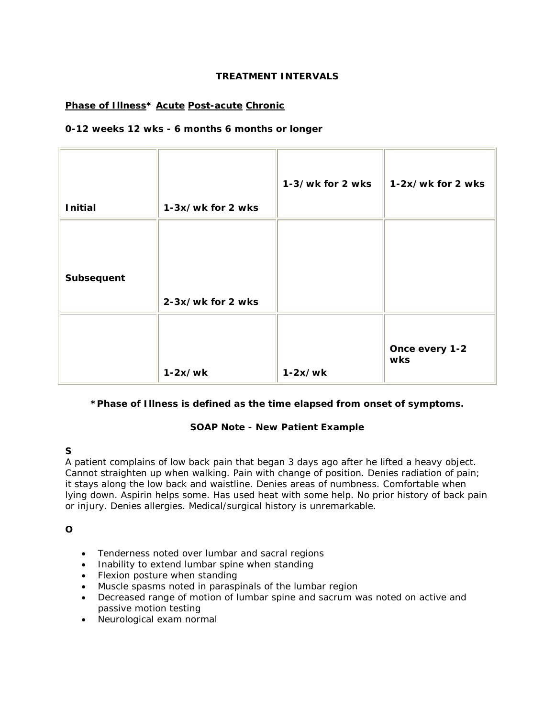### **TREATMENT INTERVALS**

## **Phase of Illness\* Acute Post-acute Chronic**

### **0-12 weeks 12 wks - 6 months 6 months or longer**

| <b>Initial</b> | 1-3x/wk for 2 wks | 1-3/wk for 2 wks | 1-2x/wk for 2 wks     |
|----------------|-------------------|------------------|-----------------------|
| Subsequent     | 2-3x/wk for 2 wks |                  |                       |
|                | $1-2x/wk$         | $1-2x/wk$        | Once every 1-2<br>wks |

## **\*Phase of Illness is defined as the time elapsed from onset of symptoms.**

## **SOAP Note - New Patient Example**

## **S**

A patient complains of low back pain that began 3 days ago after he lifted a heavy object. Cannot straighten up when walking. Pain with change of position. Denies radiation of pain; it stays along the low back and waistline. Denies areas of numbness. Comfortable when lying down. Aspirin helps some. Has used heat with some help. No prior history of back pain or injury. Denies allergies. Medical/surgical history is unremarkable.

**O**

- Tenderness noted over lumbar and sacral regions
- Inability to extend lumbar spine when standing
- Flexion posture when standing
- Muscle spasms noted in paraspinals of the lumbar region
- Decreased range of motion of lumbar spine and sacrum was noted on active and passive motion testing
- Neurological exam normal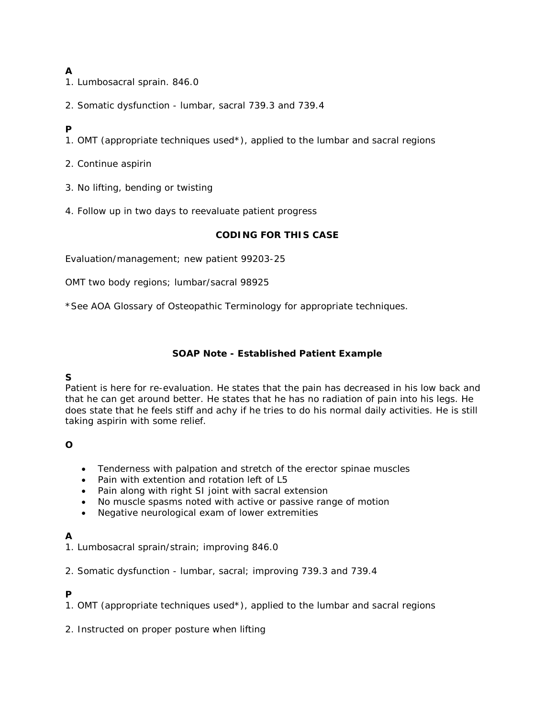# **A**

- 1. Lumbosacral sprain. 846.0
- 2. Somatic dysfunction lumbar, sacral 739.3 and 739.4

## **P**

- 1. OMT (appropriate techniques used\*), applied to the lumbar and sacral regions
- 2. Continue aspirin
- 3. No lifting, bending or twisting
- 4. Follow up in two days to reevaluate patient progress

#### **CODING FOR THIS CASE**

Evaluation/management; new patient 99203-25

OMT two body regions; lumbar/sacral 98925

\*See AOA Glossary of Osteopathic Terminology for appropriate techniques.

### **SOAP Note - Established Patient Example**

## **S**

Patient is here for re-evaluation. He states that the pain has decreased in his low back and that he can get around better. He states that he has no radiation of pain into his legs. He does state that he feels stiff and achy if he tries to do his normal daily activities. He is still taking aspirin with some relief.

## **O**

- Tenderness with palpation and stretch of the erector spinae muscles
- Pain with extention and rotation left of L5
- Pain along with right SI joint with sacral extension
- No muscle spasms noted with active or passive range of motion
- Negative neurological exam of lower extremities

## **A**

- 1. Lumbosacral sprain/strain; improving 846.0
- 2. Somatic dysfunction lumbar, sacral; improving 739.3 and 739.4

## **P**

- 1. OMT (appropriate techniques used\*), applied to the lumbar and sacral regions
- 2. Instructed on proper posture when lifting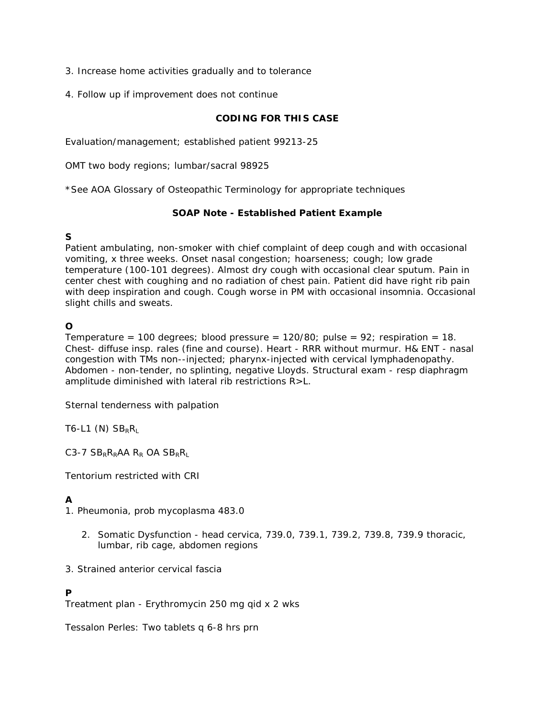- 3. Increase home activities gradually and to tolerance
- 4. Follow up if improvement does not continue

### **CODING FOR THIS CASE**

Evaluation/management; established patient 99213-25

OMT two body regions; lumbar/sacral 98925

\*See AOA Glossary of Osteopathic Terminology for appropriate techniques

#### **SOAP Note - Established Patient Example**

### **S**

Patient ambulating, non-smoker with chief complaint of deep cough and with occasional vomiting, x three weeks. Onset nasal congestion; hoarseness; cough; low grade temperature (100-101 degrees). Almost dry cough with occasional clear sputum. Pain in center chest with coughing and no radiation of chest pain. Patient did have right rib pain with deep inspiration and cough. Cough worse in PM with occasional insomnia. Occasional slight chills and sweats.

### **O**

Temperature = 100 degrees; blood pressure =  $120/80$ ; pulse =  $92$ ; respiration = 18. Chest- diffuse insp. rales (fine and course). Heart - RRR without murmur. H& ENT - nasal congestion with TMs non--injected; pharynx-injected with cervical lymphadenopathy. Abdomen - non-tender, no splinting, negative Lloyds. Structural exam - resp diaphragm amplitude diminished with lateral rib restrictions R>L.

Sternal tenderness with palpation

T6-L1  $(N)$  SB<sub>R</sub>R<sub>L</sub>

C3-7  $SB_RR_RAA$  R<sub>R</sub> OA  $SB_RR_L$ 

Tentorium restricted with CRI

## **A**

1. Pheumonia, prob mycoplasma 483.0

- 2. Somatic Dysfunction head cervica, 739.0, 739.1, 739.2, 739.8, 739.9 thoracic, lumbar, rib cage, abdomen regions
- 3. Strained anterior cervical fascia

## **P**

Treatment plan - Erythromycin 250 mg qid x 2 wks

Tessalon Perles: Two tablets q 6-8 hrs prn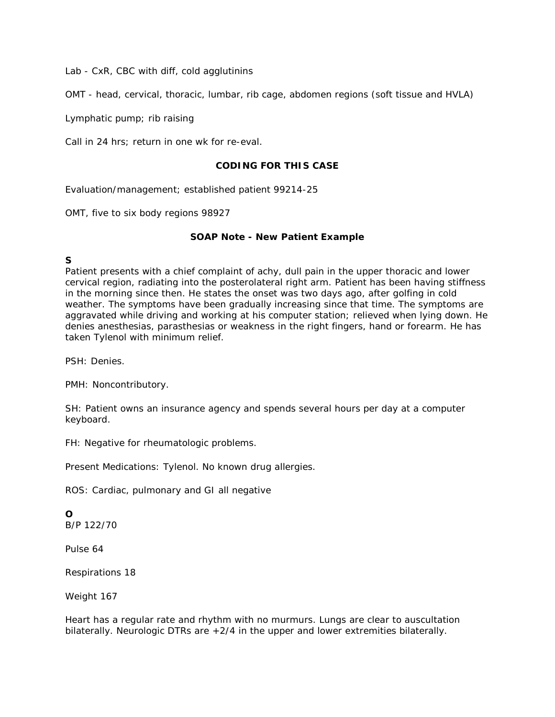Lab - CxR, CBC with diff, cold agglutinins

OMT - head, cervical, thoracic, lumbar, rib cage, abdomen regions (soft tissue and HVLA)

Lymphatic pump; rib raising

Call in 24 hrs; return in one wk for re-eval.

#### **CODING FOR THIS CASE**

Evaluation/management; established patient 99214-25

OMT, five to six body regions 98927

### **SOAP Note - New Patient Example**

## **S**

Patient presents with a chief complaint of achy, dull pain in the upper thoracic and lower cervical region, radiating into the posterolateral right arm. Patient has been having stiffness in the morning since then. He states the onset was two days ago, after golfing in cold weather. The symptoms have been gradually increasing since that time. The symptoms are aggravated while driving and working at his computer station; relieved when lying down. He denies anesthesias, parasthesias or weakness in the right fingers, hand or forearm. He has taken Tylenol with minimum relief.

PSH: Denies.

PMH: Noncontributory.

SH: Patient owns an insurance agency and spends several hours per day at a computer keyboard.

FH: Negative for rheumatologic problems.

Present Medications: Tylenol. No known drug allergies.

ROS: Cardiac, pulmonary and GI all negative

#### **O** B/P 122/70

Pulse 64

Respirations 18

Weight 167

Heart has a regular rate and rhythm with no murmurs. Lungs are clear to auscultation bilaterally. Neurologic DTRs are  $+2/4$  in the upper and lower extremities bilaterally.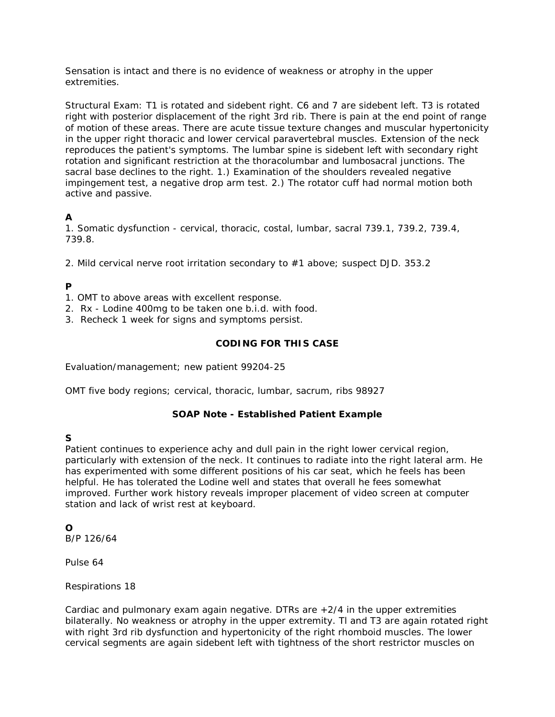Sensation is intact and there is no evidence of weakness or atrophy in the upper extremities.

Structural Exam: T1 is rotated and sidebent right. C6 and 7 are sidebent left. T3 is rotated right with posterior displacement of the right 3rd rib. There is pain at the end point of range of motion of these areas. There are acute tissue texture changes and muscular hypertonicity in the upper right thoracic and lower cervical paravertebral muscles. Extension of the neck reproduces the patient's symptoms. The lumbar spine is sidebent left with secondary right rotation and significant restriction at the thoracolumbar and lumbosacral junctions. The sacral base declines to the right. 1.) Examination of the shoulders revealed negative impingement test, a negative drop arm test. 2.) The rotator cuff had normal motion both active and passive.

## **A**

1. Somatic dysfunction - cervical, thoracic, costal, lumbar, sacral 739.1, 739.2, 739.4, 739.8.

2. Mild cervical nerve root irritation secondary to #1 above; suspect DJD. 353.2

## **P**

- 1. OMT to above areas with excellent response.
- 2. Rx Lodine 400mg to be taken one b.i.d. with food.
- 3. Recheck 1 week for signs and symptoms persist.

### **CODING FOR THIS CASE**

Evaluation/management; new patient 99204-25

OMT five body regions; cervical, thoracic, lumbar, sacrum, ribs 98927

#### **SOAP Note - Established Patient Example**

## **S**

Patient continues to experience achy and dull pain in the right lower cervical region, particularly with extension of the neck. It continues to radiate into the right lateral arm. He has experimented with some different positions of his car seat, which he feels has been helpful. He has tolerated the Lodine well and states that overall he fees somewhat improved. Further work history reveals improper placement of video screen at computer station and lack of wrist rest at keyboard.

## **O**

B/P 126/64

Pulse 64

Respirations 18

Cardiac and pulmonary exam again negative. DTRs are +2/4 in the upper extremities bilaterally. No weakness or atrophy in the upper extremity. Tl and T3 are again rotated right with right 3rd rib dysfunction and hypertonicity of the right rhomboid muscles. The lower cervical segments are again sidebent left with tightness of the short restrictor muscles on